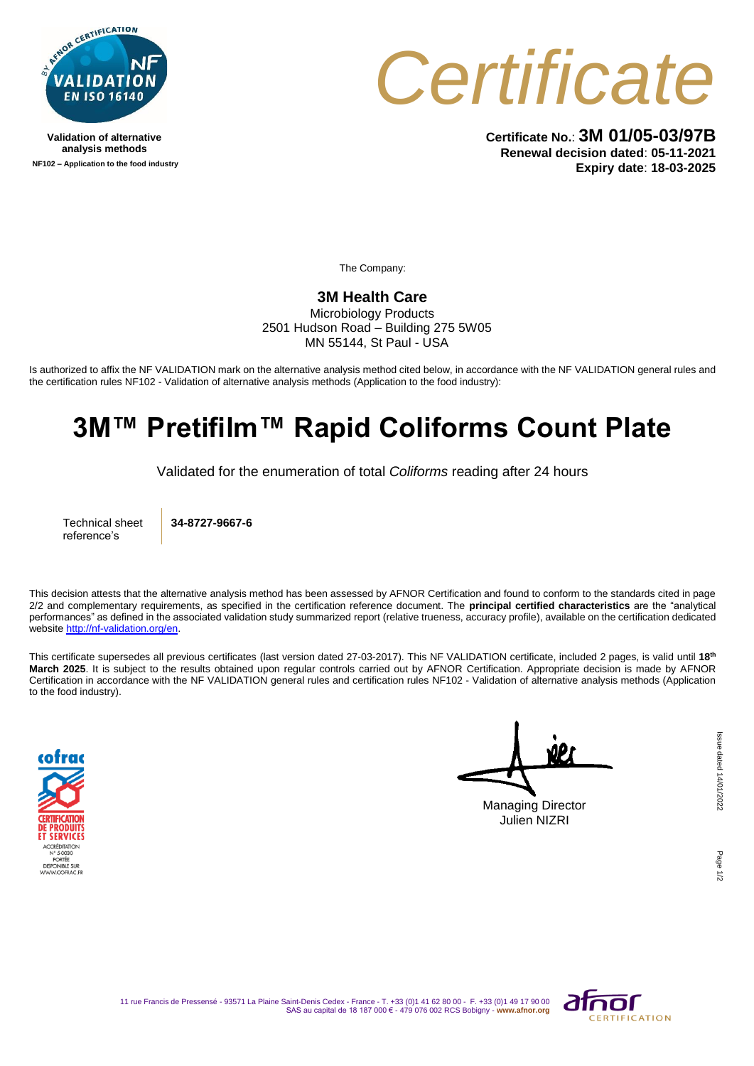

**Validation of alternative analysis methods NF102 – Application to the food industry**



**Certificate No.**: **3M 01/05-03/97B Renewal decision dated**: **05-11-2021 Expiry date**: **18-03-2025**

The Company:

## **3M Health Care**

Microbiology Products 2501 Hudson Road – Building 275 5W05 MN 55144, St Paul - USA

Is authorized to affix the NF VALIDATION mark on the alternative analysis method cited below, in accordance with the NF VALIDATION general rules and the certification rules NF102 - Validation of alternative analysis methods (Application to the food industry):

## **3M™ Pretifilm™ Rapid Coliforms Count Plate**

Validated for the enumeration of total *Coliforms* reading after 24 hours

Technical sheet reference's

**34-8727-9667-6**

This decision attests that the alternative analysis method has been assessed by AFNOR Certification and found to conform to the standards cited in page 2/2 and complementary requirements, as specified in the certification reference document. The **principal certified characteristics** are the "analytical performances" as defined in the associated validation study summarized report (relative trueness, accuracy profile), available on the certification dedicated websit[e http://nf-validation.org/en.](http://nf-validation.org/en)

This certificate supersedes all previous certificates (last version dated 27-03-2017). This NF VALIDATION certificate, included 2 pages, is valid until **18th March 2025**. It is subject to the results obtained upon regular controls carried out by AFNOR Certification. Appropriate decision is made by AFNOR Certification in accordance with the NF VALIDATION general rules and certification rules NF102 - Validation of alternative analysis methods (Application to the food industry).



Managing Director

Julien NIZRI

Page